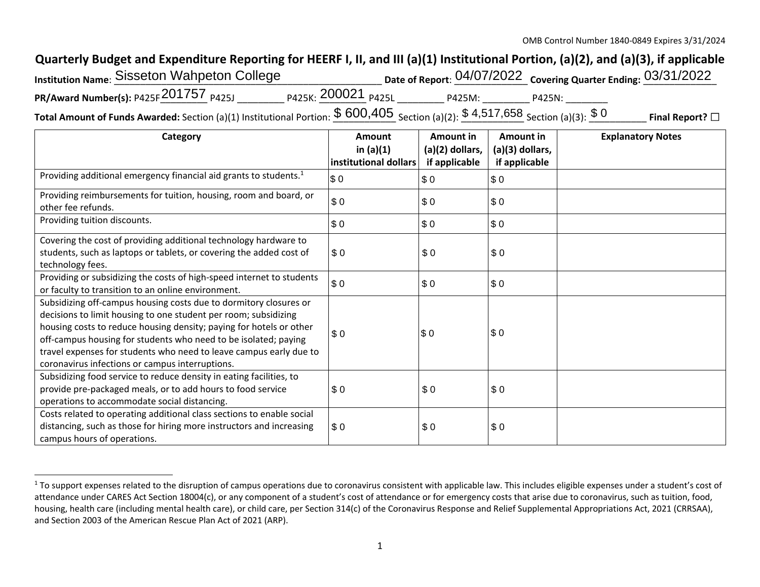## **Quarterly Budget and Expenditure Reporting for HEERF I, II, and III (a)(1) Institutional Portion, (a)(2), and (a)(3), if applicable**

| <b>Institution Name: Sisseton Wahpeton College</b>                                                                                          |                                           |        | Date of Report: 04/07/2022 Covering Quarter Ending: 03/31/2022 |                         |
|---------------------------------------------------------------------------------------------------------------------------------------------|-------------------------------------------|--------|----------------------------------------------------------------|-------------------------|
| PR/Award Number(s): P425F 201757 $_{P425J}$                                                                                                 | <sub>P425K:</sub> 200021 <sub>P425L</sub> | P425M: | P425N:                                                         |                         |
| Total Amount of Funds Awarded: Section (a)(1) Institutional Portion: $\$$ $600,405$ Section (a)(2): $\$$ $4,517,658$ Section (a)(3): $\$$ 0 |                                           |        |                                                                | Final Report? $\square$ |

| Category                                                                                                                                                                                                                                                                                                                                                                                                | Amount<br>in $(a)(1)$<br>institutional dollars | Amount in<br>(a)(2) dollars,<br>if applicable | Amount in<br>(a)(3) dollars,<br>if applicable | <b>Explanatory Notes</b> |
|---------------------------------------------------------------------------------------------------------------------------------------------------------------------------------------------------------------------------------------------------------------------------------------------------------------------------------------------------------------------------------------------------------|------------------------------------------------|-----------------------------------------------|-----------------------------------------------|--------------------------|
| Providing additional emergency financial aid grants to students. <sup>1</sup>                                                                                                                                                                                                                                                                                                                           | \$0                                            | \$0                                           | \$0                                           |                          |
| Providing reimbursements for tuition, housing, room and board, or<br>other fee refunds.                                                                                                                                                                                                                                                                                                                 | \$0                                            | \$0                                           | \$0                                           |                          |
| Providing tuition discounts.                                                                                                                                                                                                                                                                                                                                                                            | \$0                                            | \$0                                           | \$0                                           |                          |
| Covering the cost of providing additional technology hardware to<br>students, such as laptops or tablets, or covering the added cost of<br>technology fees.                                                                                                                                                                                                                                             | \$0                                            | \$0                                           | \$0                                           |                          |
| Providing or subsidizing the costs of high-speed internet to students<br>or faculty to transition to an online environment.                                                                                                                                                                                                                                                                             | \$0                                            | \$0                                           | \$0                                           |                          |
| Subsidizing off-campus housing costs due to dormitory closures or<br>decisions to limit housing to one student per room; subsidizing<br>housing costs to reduce housing density; paying for hotels or other<br>off-campus housing for students who need to be isolated; paying<br>travel expenses for students who need to leave campus early due to<br>coronavirus infections or campus interruptions. | \$0                                            | \$0                                           | \$0                                           |                          |
| Subsidizing food service to reduce density in eating facilities, to<br>provide pre-packaged meals, or to add hours to food service<br>operations to accommodate social distancing.                                                                                                                                                                                                                      | \$0                                            | \$0                                           | \$0                                           |                          |
| Costs related to operating additional class sections to enable social<br>distancing, such as those for hiring more instructors and increasing<br>campus hours of operations.                                                                                                                                                                                                                            | \$0                                            | \$0                                           | \$0                                           |                          |

<sup>&</sup>lt;sup>1</sup> To support expenses related to the disruption of campus operations due to coronavirus consistent with applicable law. This includes eligible expenses under a student's cost of attendance under CARES Act Section 18004(c), or any component of a student's cost of attendance or for emergency costs that arise due to coronavirus, such as tuition, food, housing, health care (including mental health care), or child care, per Section 314(c) of the Coronavirus Response and Relief Supplemental Appropriations Act, 2021 (CRRSAA), and Section 2003 of the American Rescue Plan Act of 2021 (ARP).